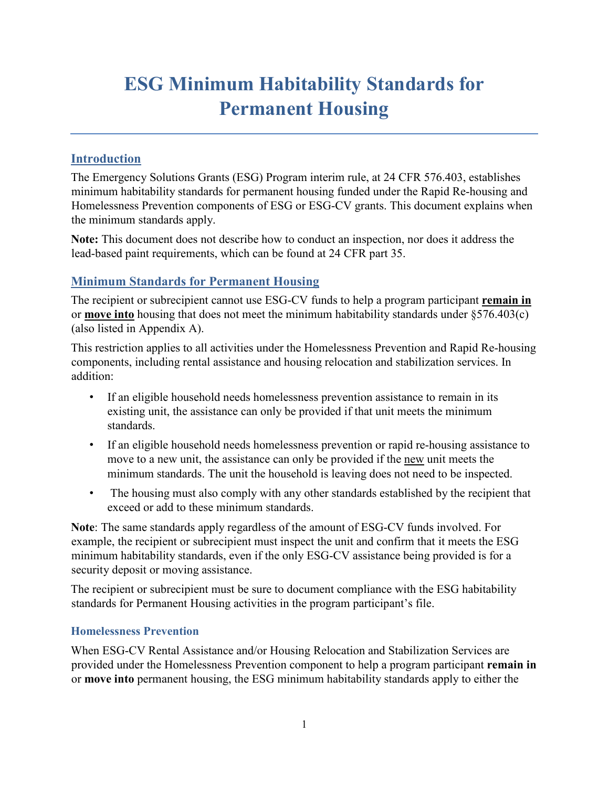# **ESG Minimum Habitability Standards for Permanent Housing**

## **Introduction**

The Emergency Solutions Grants (ESG) Program interim rule, at 24 CFR 576.403, establishes minimum habitability standards for permanent housing funded under the Rapid Re-housing and Homelessness Prevention components of ESG or ESG-CV grants. This document explains when the minimum standards apply.

**Note:** This document does not describe how to conduct an inspection, nor does it address the lead-based paint requirements, which can be found at 24 CFR part 35.

# **Minimum Standards for Permanent Housing**

The recipient or subrecipient cannot use ESG-CV funds to help a program participant **remain in** or **move into** housing that does not meet the minimum habitability standards under §576.403(c) (also listed in Appendix A).

This restriction applies to all activities under the Homelessness Prevention and Rapid Re-housing components, including rental assistance and housing relocation and stabilization services. In addition:

- If an eligible household needs homelessness prevention assistance to remain in its existing unit, the assistance can only be provided if that unit meets the minimum standards.
- If an eligible household needs homelessness prevention or rapid re-housing assistance to move to a new unit, the assistance can only be provided if the new unit meets the minimum standards. The unit the household is leaving does not need to be inspected.
- The housing must also comply with any other standards established by the recipient that exceed or add to these minimum standards.

**Note**: The same standards apply regardless of the amount of ESG-CV funds involved. For example, the recipient or subrecipient must inspect the unit and confirm that it meets the ESG minimum habitability standards, even if the only ESG-CV assistance being provided is for a security deposit or moving assistance.

The recipient or subrecipient must be sure to document compliance with the ESG habitability standards for Permanent Housing activities in the program participant's file.

## **Homelessness Prevention**

When ESG-CV Rental Assistance and/or Housing Relocation and Stabilization Services are provided under the Homelessness Prevention component to help a program participant **remain in**  or **move into** permanent housing, the ESG minimum habitability standards apply to either the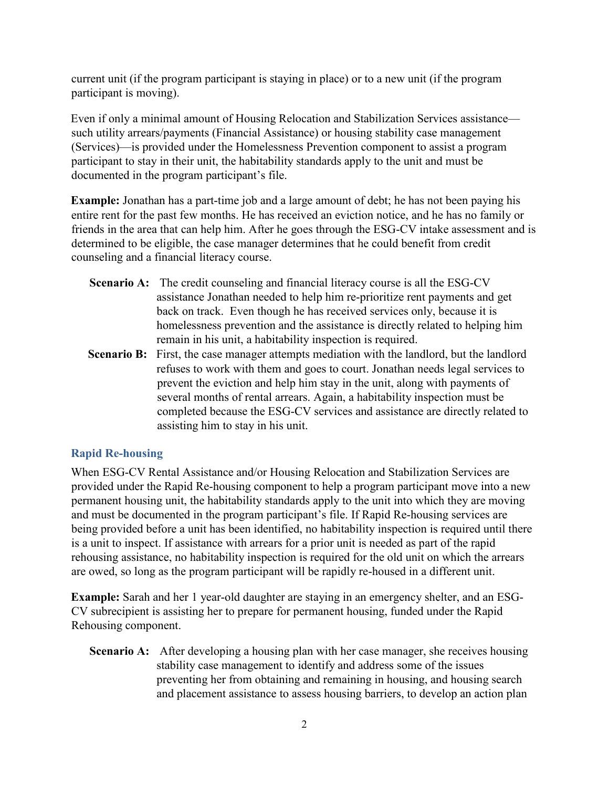current unit (if the program participant is staying in place) or to a new unit (if the program participant is moving).

Even if only a minimal amount of Housing Relocation and Stabilization Services assistance such utility arrears/payments (Financial Assistance) or housing stability case management (Services)—is provided under the Homelessness Prevention component to assist a program participant to stay in their unit, the habitability standards apply to the unit and must be documented in the program participant's file.

**Example:** Jonathan has a part-time job and a large amount of debt; he has not been paying his entire rent for the past few months. He has received an eviction notice, and he has no family or friends in the area that can help him. After he goes through the ESG-CV intake assessment and is determined to be eligible, the case manager determines that he could benefit from credit counseling and a financial literacy course.

- **Scenario A:** The credit counseling and financial literacy course is all the ESG-CV assistance Jonathan needed to help him re-prioritize rent payments and get back on track. Even though he has received services only, because it is homelessness prevention and the assistance is directly related to helping him remain in his unit, a habitability inspection is required.
- **Scenario B:** First, the case manager attempts mediation with the landlord, but the landlord refuses to work with them and goes to court. Jonathan needs legal services to prevent the eviction and help him stay in the unit, along with payments of several months of rental arrears. Again, a habitability inspection must be completed because the ESG-CV services and assistance are directly related to assisting him to stay in his unit.

## **Rapid Re-housing**

When ESG-CV Rental Assistance and/or Housing Relocation and Stabilization Services are provided under the Rapid Re-housing component to help a program participant move into a new permanent housing unit, the habitability standards apply to the unit into which they are moving and must be documented in the program participant's file. If Rapid Re-housing services are being provided before a unit has been identified, no habitability inspection is required until there is a unit to inspect. If assistance with arrears for a prior unit is needed as part of the rapid rehousing assistance, no habitability inspection is required for the old unit on which the arrears are owed, so long as the program participant will be rapidly re-housed in a different unit.

**Example:** Sarah and her 1 year-old daughter are staying in an emergency shelter, and an ESG-CV subrecipient is assisting her to prepare for permanent housing, funded under the Rapid Rehousing component.

**Scenario A:** After developing a housing plan with her case manager, she receives housing stability case management to identify and address some of the issues preventing her from obtaining and remaining in housing, and housing search and placement assistance to assess housing barriers, to develop an action plan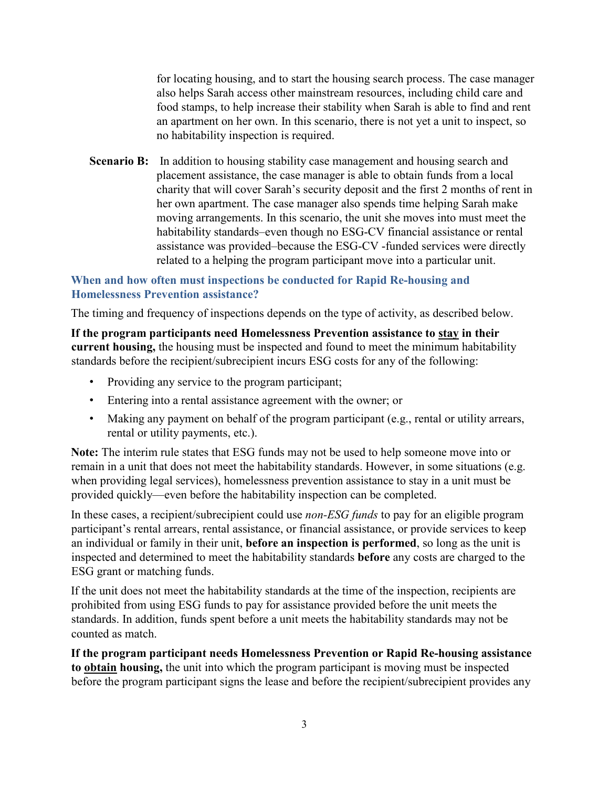for locating housing, and to start the housing search process. The case manager also helps Sarah access other mainstream resources, including child care and food stamps, to help increase their stability when Sarah is able to find and rent an apartment on her own. In this scenario, there is not yet a unit to inspect, so no habitability inspection is required.

**Scenario B:** In addition to housing stability case management and housing search and placement assistance, the case manager is able to obtain funds from a local charity that will cover Sarah's security deposit and the first 2 months of rent in her own apartment. The case manager also spends time helping Sarah make moving arrangements. In this scenario, the unit she moves into must meet the habitability standards–even though no ESG-CV financial assistance or rental assistance was provided–because the ESG-CV -funded services were directly related to a helping the program participant move into a particular unit.

#### **When and how often must inspections be conducted for Rapid Re-housing and Homelessness Prevention assistance?**

The timing and frequency of inspections depends on the type of activity, as described below.

**If the program participants need Homelessness Prevention assistance to stay in their current housing,** the housing must be inspected and found to meet the minimum habitability standards before the recipient/subrecipient incurs ESG costs for any of the following:

- Providing any service to the program participant;
- Entering into a rental assistance agreement with the owner; or
- Making any payment on behalf of the program participant (e.g., rental or utility arrears, rental or utility payments, etc.).

**Note:** The interim rule states that ESG funds may not be used to help someone move into or remain in a unit that does not meet the habitability standards. However, in some situations (e.g. when providing legal services), homelessness prevention assistance to stay in a unit must be provided quickly—even before the habitability inspection can be completed.

In these cases, a recipient/subrecipient could use *non-ESG funds* to pay for an eligible program participant's rental arrears, rental assistance, or financial assistance, or provide services to keep an individual or family in their unit, **before an inspection is performed**, so long as the unit is inspected and determined to meet the habitability standards **before** any costs are charged to the ESG grant or matching funds.

If the unit does not meet the habitability standards at the time of the inspection, recipients are prohibited from using ESG funds to pay for assistance provided before the unit meets the standards. In addition, funds spent before a unit meets the habitability standards may not be counted as match.

**If the program participant needs Homelessness Prevention or Rapid Re-housing assistance to obtain housing,** the unit into which the program participant is moving must be inspected before the program participant signs the lease and before the recipient/subrecipient provides any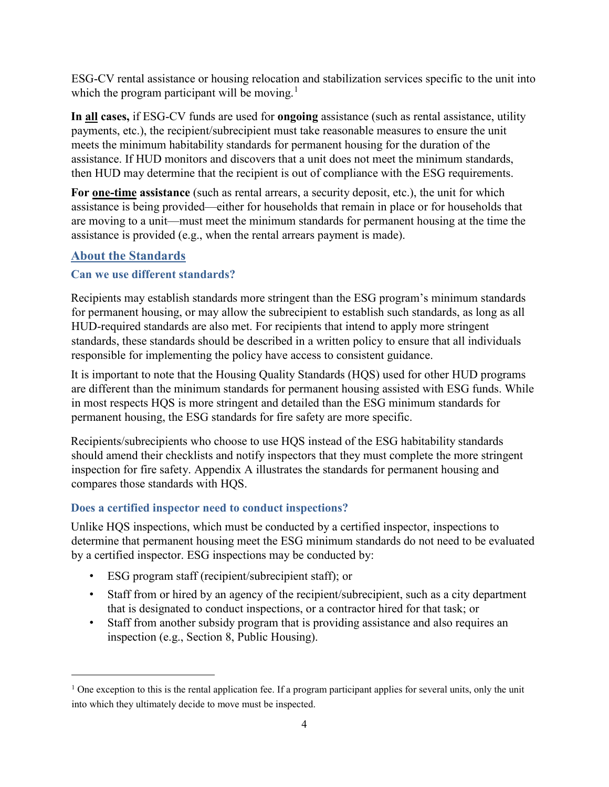ESG-CV rental assistance or housing relocation and stabilization services specific to the unit into which the program participant will be moving.<sup>[1](#page-3-0)</sup>

**In all cases,** if ESG-CV funds are used for **ongoing** assistance (such as rental assistance, utility payments, etc.), the recipient/subrecipient must take reasonable measures to ensure the unit meets the minimum habitability standards for permanent housing for the duration of the assistance. If HUD monitors and discovers that a unit does not meet the minimum standards, then HUD may determine that the recipient is out of compliance with the ESG requirements.

**For one-time assistance** (such as rental arrears, a security deposit, etc.), the unit for which assistance is being provided—either for households that remain in place or for households that are moving to a unit—must meet the minimum standards for permanent housing at the time the assistance is provided (e.g., when the rental arrears payment is made).

# **About the Standards**

 $\overline{a}$ 

## **Can we use different standards?**

Recipients may establish standards more stringent than the ESG program's minimum standards for permanent housing, or may allow the subrecipient to establish such standards, as long as all HUD-required standards are also met. For recipients that intend to apply more stringent standards, these standards should be described in a written policy to ensure that all individuals responsible for implementing the policy have access to consistent guidance.

It is important to note that the Housing Quality Standards (HQS) used for other HUD programs are different than the minimum standards for permanent housing assisted with ESG funds. While in most respects HQS is more stringent and detailed than the ESG minimum standards for permanent housing, the ESG standards for fire safety are more specific.

Recipients/subrecipients who choose to use HQS instead of the ESG habitability standards should amend their checklists and notify inspectors that they must complete the more stringent inspection for fire safety. Appendix A illustrates the standards for permanent housing and compares those standards with HQS.

## **Does a certified inspector need to conduct inspections?**

Unlike HQS inspections, which must be conducted by a certified inspector, inspections to determine that permanent housing meet the ESG minimum standards do not need to be evaluated by a certified inspector. ESG inspections may be conducted by:

- ESG program staff (recipient/subrecipient staff); or
- Staff from or hired by an agency of the recipient/subrecipient, such as a city department that is designated to conduct inspections, or a contractor hired for that task; or
- Staff from another subsidy program that is providing assistance and also requires an inspection (e.g., Section 8, Public Housing).

<span id="page-3-0"></span><sup>&</sup>lt;sup>1</sup> One exception to this is the rental application fee. If a program participant applies for several units, only the unit into which they ultimately decide to move must be inspected.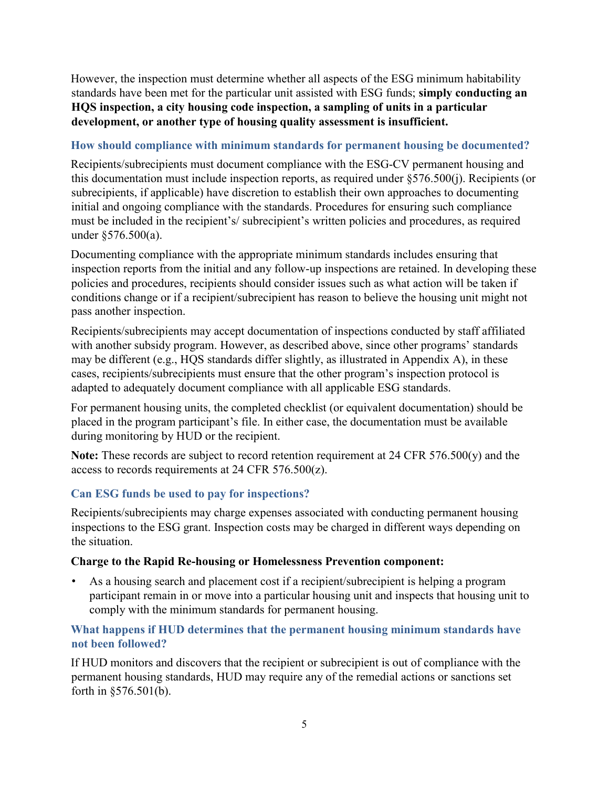However, the inspection must determine whether all aspects of the ESG minimum habitability standards have been met for the particular unit assisted with ESG funds; **simply conducting an HQS inspection, a city housing code inspection, a sampling of units in a particular development, or another type of housing quality assessment is insufficient.** 

#### **How should compliance with minimum standards for permanent housing be documented?**

Recipients/subrecipients must document compliance with the ESG-CV permanent housing and this documentation must include inspection reports, as required under §576.500(j). Recipients (or subrecipients, if applicable) have discretion to establish their own approaches to documenting initial and ongoing compliance with the standards. Procedures for ensuring such compliance must be included in the recipient's/ subrecipient's written policies and procedures, as required under §576.500(a).

Documenting compliance with the appropriate minimum standards includes ensuring that inspection reports from the initial and any follow-up inspections are retained. In developing these policies and procedures, recipients should consider issues such as what action will be taken if conditions change or if a recipient/subrecipient has reason to believe the housing unit might not pass another inspection.

Recipients/subrecipients may accept documentation of inspections conducted by staff affiliated with another subsidy program. However, as described above, since other programs' standards may be different (e.g., HQS standards differ slightly, as illustrated in Appendix A), in these cases, recipients/subrecipients must ensure that the other program's inspection protocol is adapted to adequately document compliance with all applicable ESG standards.

For permanent housing units, the completed checklist (or equivalent documentation) should be placed in the program participant's file. In either case, the documentation must be available during monitoring by HUD or the recipient.

**Note:** These records are subject to record retention requirement at 24 CFR 576.500(y) and the access to records requirements at 24 CFR 576.500(z).

## **Can ESG funds be used to pay for inspections?**

Recipients/subrecipients may charge expenses associated with conducting permanent housing inspections to the ESG grant. Inspection costs may be charged in different ways depending on the situation.

#### **Charge to the Rapid Re-housing or Homelessness Prevention component:**

• As a housing search and placement cost if a recipient/subrecipient is helping a program participant remain in or move into a particular housing unit and inspects that housing unit to comply with the minimum standards for permanent housing.

## **What happens if HUD determines that the permanent housing minimum standards have not been followed?**

If HUD monitors and discovers that the recipient or subrecipient is out of compliance with the permanent housing standards, HUD may require any of the remedial actions or sanctions set forth in §576.501(b).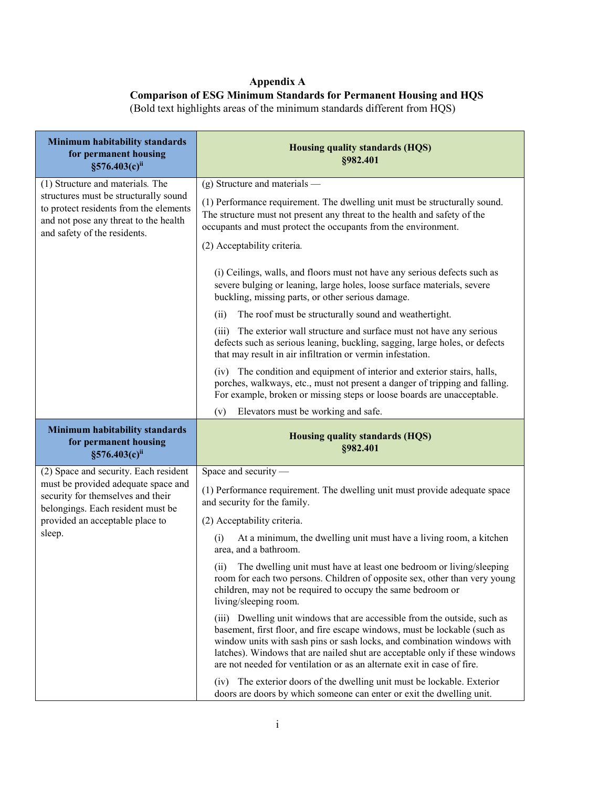#### **Appendix A**

#### **Comparison of ESG Minimum Standards for Permanent Housing and HQS** (Bold text highlights areas of the minimum standards different from HQS)

| Minimum habitability standards<br>for permanent housing<br>§576.403(c)ii                                                                                 | <b>Housing quality standards (HQS)</b><br>§982.401                                                                                                                                                                                                                                                                                                                                          |
|----------------------------------------------------------------------------------------------------------------------------------------------------------|---------------------------------------------------------------------------------------------------------------------------------------------------------------------------------------------------------------------------------------------------------------------------------------------------------------------------------------------------------------------------------------------|
| (1) Structure and materials. The                                                                                                                         | $(g)$ Structure and materials —                                                                                                                                                                                                                                                                                                                                                             |
| structures must be structurally sound<br>to protect residents from the elements<br>and not pose any threat to the health<br>and safety of the residents. | (1) Performance requirement. The dwelling unit must be structurally sound.<br>The structure must not present any threat to the health and safety of the<br>occupants and must protect the occupants from the environment.                                                                                                                                                                   |
|                                                                                                                                                          | (2) Acceptability criteria.                                                                                                                                                                                                                                                                                                                                                                 |
|                                                                                                                                                          | (i) Ceilings, walls, and floors must not have any serious defects such as<br>severe bulging or leaning, large holes, loose surface materials, severe<br>buckling, missing parts, or other serious damage.                                                                                                                                                                                   |
|                                                                                                                                                          | The roof must be structurally sound and weathertight.<br>(ii)                                                                                                                                                                                                                                                                                                                               |
|                                                                                                                                                          | The exterior wall structure and surface must not have any serious<br>(iii)<br>defects such as serious leaning, buckling, sagging, large holes, or defects<br>that may result in air infiltration or vermin infestation.                                                                                                                                                                     |
|                                                                                                                                                          | (iv) The condition and equipment of interior and exterior stairs, halls,<br>porches, walkways, etc., must not present a danger of tripping and falling.<br>For example, broken or missing steps or loose boards are unacceptable.                                                                                                                                                           |
|                                                                                                                                                          | Elevators must be working and safe.<br>(v)                                                                                                                                                                                                                                                                                                                                                  |
|                                                                                                                                                          |                                                                                                                                                                                                                                                                                                                                                                                             |
| Minimum habitability standards<br>for permanent housing<br>§576.403(c)ii                                                                                 | <b>Housing quality standards (HQS)</b><br>§982.401                                                                                                                                                                                                                                                                                                                                          |
| (2) Space and security. Each resident                                                                                                                    | Space and security -                                                                                                                                                                                                                                                                                                                                                                        |
| must be provided adequate space and<br>security for themselves and their                                                                                 | (1) Performance requirement. The dwelling unit must provide adequate space<br>and security for the family.                                                                                                                                                                                                                                                                                  |
| belongings. Each resident must be<br>provided an acceptable place to                                                                                     | (2) Acceptability criteria.                                                                                                                                                                                                                                                                                                                                                                 |
| sleep.                                                                                                                                                   | At a minimum, the dwelling unit must have a living room, a kitchen<br>(i)<br>area, and a bathroom.                                                                                                                                                                                                                                                                                          |
|                                                                                                                                                          | The dwelling unit must have at least one bedroom or living/sleeping<br>(ii)<br>room for each two persons. Children of opposite sex, other than very young<br>children, may not be required to occupy the same bedroom or<br>living/sleeping room.                                                                                                                                           |
|                                                                                                                                                          | (iii) Dwelling unit windows that are accessible from the outside, such as<br>basement, first floor, and fire escape windows, must be lockable (such as<br>window units with sash pins or sash locks, and combination windows with<br>latches). Windows that are nailed shut are acceptable only if these windows<br>are not needed for ventilation or as an alternate exit in case of fire. |

i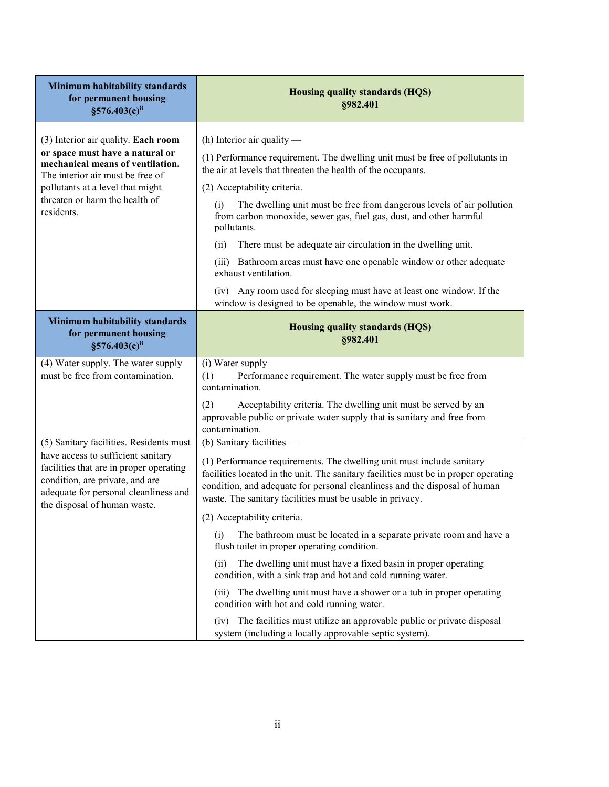| Minimum habitability standards<br>for permanent housing<br>§576.403(c)ii                                                                                                                                                             | <b>Housing quality standards (HQS)</b><br>§982.401                                                                                                                                                                                                                                                                                                                                                                                                                                                                                                                                                                                                                                            |
|--------------------------------------------------------------------------------------------------------------------------------------------------------------------------------------------------------------------------------------|-----------------------------------------------------------------------------------------------------------------------------------------------------------------------------------------------------------------------------------------------------------------------------------------------------------------------------------------------------------------------------------------------------------------------------------------------------------------------------------------------------------------------------------------------------------------------------------------------------------------------------------------------------------------------------------------------|
| (3) Interior air quality. Each room<br>or space must have a natural or<br>mechanical means of ventilation.<br>The interior air must be free of<br>pollutants at a level that might<br>threaten or harm the health of<br>residents.   | (h) Interior air quality $-$<br>(1) Performance requirement. The dwelling unit must be free of pollutants in<br>the air at levels that threaten the health of the occupants.<br>(2) Acceptability criteria.<br>The dwelling unit must be free from dangerous levels of air pollution<br>(i)<br>from carbon monoxide, sewer gas, fuel gas, dust, and other harmful<br>pollutants.<br>There must be adequate air circulation in the dwelling unit.<br>(ii)<br>(iii) Bathroom areas must have one openable window or other adequate<br>exhaust ventilation.<br>(iv) Any room used for sleeping must have at least one window. If the<br>window is designed to be openable, the window must work. |
| Minimum habitability standards<br>for permanent housing<br>§576.403(c)ii                                                                                                                                                             | Housing quality standards (HQS)<br>§982.401                                                                                                                                                                                                                                                                                                                                                                                                                                                                                                                                                                                                                                                   |
| (4) Water supply. The water supply<br>must be free from contamination.                                                                                                                                                               | $(i)$ Water supply —<br>(1)<br>Performance requirement. The water supply must be free from<br>contamination.<br>(2)<br>Acceptability criteria. The dwelling unit must be served by an<br>approvable public or private water supply that is sanitary and free from<br>contamination.                                                                                                                                                                                                                                                                                                                                                                                                           |
| (5) Sanitary facilities. Residents must<br>have access to sufficient sanitary<br>facilities that are in proper operating<br>condition, are private, and are<br>adequate for personal cleanliness and<br>the disposal of human waste. | (b) Sanitary facilities -<br>(1) Performance requirements. The dwelling unit must include sanitary<br>facilities located in the unit. The sanitary facilities must be in proper operating<br>condition, and adequate for personal cleanliness and the disposal of human<br>waste. The sanitary facilities must be usable in privacy.<br>(2) Acceptability criteria.<br>The bathroom must be located in a separate private room and have a<br>(i)<br>flush toilet in proper operating condition.<br>The dwelling unit must have a fixed basin in proper operating<br>(ii)<br>condition, with a sink trap and hot and cold running water.                                                       |
|                                                                                                                                                                                                                                      | The dwelling unit must have a shower or a tub in proper operating<br>(111)<br>condition with hot and cold running water.<br>The facilities must utilize an approvable public or private disposal<br>(iv)                                                                                                                                                                                                                                                                                                                                                                                                                                                                                      |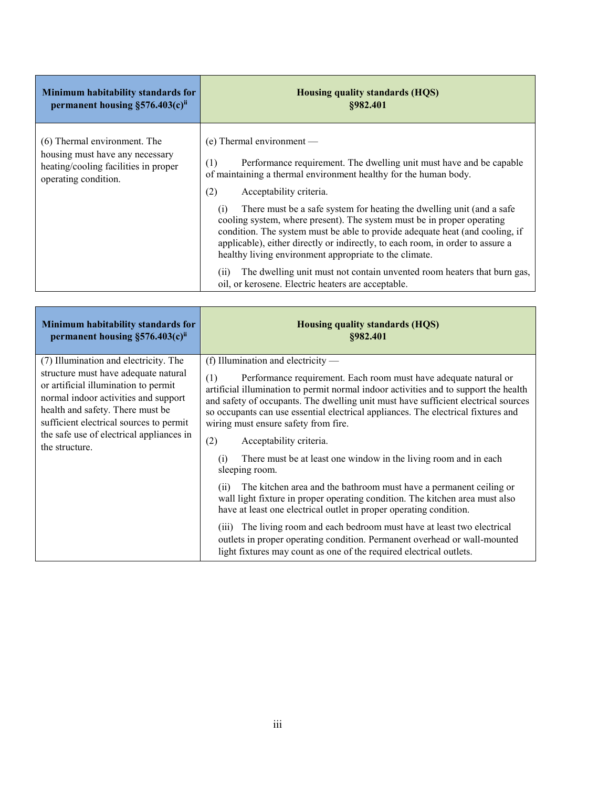| Minimum habitability standards for                                                                                              | <b>Housing quality standards (HQS)</b>                                                                                                                                                                                                                                                                                                                                                                                                                                                                                                                                                                                                                                                                                                        |
|---------------------------------------------------------------------------------------------------------------------------------|-----------------------------------------------------------------------------------------------------------------------------------------------------------------------------------------------------------------------------------------------------------------------------------------------------------------------------------------------------------------------------------------------------------------------------------------------------------------------------------------------------------------------------------------------------------------------------------------------------------------------------------------------------------------------------------------------------------------------------------------------|
| permanent housing $\S576.403(c)$ <sup>ii</sup>                                                                                  | \$982.401                                                                                                                                                                                                                                                                                                                                                                                                                                                                                                                                                                                                                                                                                                                                     |
| (6) Thermal environment. The<br>housing must have any necessary<br>heating/cooling facilities in proper<br>operating condition. | $(e)$ Thermal environment —<br>Performance requirement. The dwelling unit must have and be capable<br>(1)<br>of maintaining a thermal environment healthy for the human body.<br>(2)<br>Acceptability criteria.<br>There must be a safe system for heating the dwelling unit (and a safe<br>(1)<br>cooling system, where present). The system must be in proper operating<br>condition. The system must be able to provide adequate heat (and cooling, if<br>applicable), either directly or indirectly, to each room, in order to assure a<br>healthy living environment appropriate to the climate.<br>The dwelling unit must not contain unvented room heaters that burn gas,<br>(i)<br>oil, or kerosene. Electric heaters are acceptable. |

| Minimum habitability standards for<br>permanent housing $\S576.403(c)$ <sup>ii</sup>                                                                                                                                                                                                                       | <b>Housing quality standards (HQS)</b><br>§982.401                                                                                                                                                                                                                                                                                                                                                                                                                                                                                                                                                                                                                                                                      |
|------------------------------------------------------------------------------------------------------------------------------------------------------------------------------------------------------------------------------------------------------------------------------------------------------------|-------------------------------------------------------------------------------------------------------------------------------------------------------------------------------------------------------------------------------------------------------------------------------------------------------------------------------------------------------------------------------------------------------------------------------------------------------------------------------------------------------------------------------------------------------------------------------------------------------------------------------------------------------------------------------------------------------------------------|
| (7) Illumination and electricity. The<br>structure must have adequate natural<br>or artificial illumination to permit<br>normal indoor activities and support<br>health and safety. There must be<br>sufficient electrical sources to permit<br>the safe use of electrical appliances in<br>the structure. | (f) Illumination and electricity $-$<br>Performance requirement. Each room must have adequate natural or<br>(1)<br>artificial illumination to permit normal indoor activities and to support the health<br>and safety of occupants. The dwelling unit must have sufficient electrical sources<br>so occupants can use essential electrical appliances. The electrical fixtures and<br>wiring must ensure safety from fire.<br>(2)<br>Acceptability criteria.<br>There must be at least one window in the living room and in each<br>(1)<br>sleeping room.<br>The kitchen area and the bathroom must have a permanent ceiling or<br>(ii)<br>wall light fixture in proper operating condition. The kitchen area must also |
|                                                                                                                                                                                                                                                                                                            | have at least one electrical outlet in proper operating condition.<br>The living room and each bedroom must have at least two electrical<br>(111)<br>outlets in proper operating condition. Permanent overhead or wall-mounted<br>light fixtures may count as one of the required electrical outlets.                                                                                                                                                                                                                                                                                                                                                                                                                   |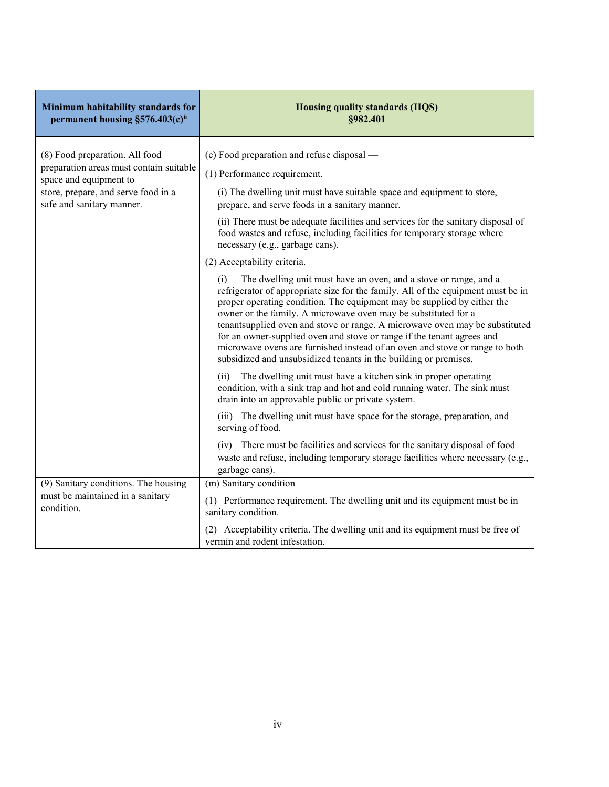| Minimum habitability standards for<br>permanent housing §576.403(c)ii                                                                                                   | <b>Housing quality standards (HQS)</b><br>§982.401                                                                                                                                                                                                                                                                                                                                                                                                                                                                                                                                                                                                                                                                                                                                                                                                                                                                                                                                                                                                                                                                                                                                                                                                                                                                                                                                                                                                                                                                                               |
|-------------------------------------------------------------------------------------------------------------------------------------------------------------------------|--------------------------------------------------------------------------------------------------------------------------------------------------------------------------------------------------------------------------------------------------------------------------------------------------------------------------------------------------------------------------------------------------------------------------------------------------------------------------------------------------------------------------------------------------------------------------------------------------------------------------------------------------------------------------------------------------------------------------------------------------------------------------------------------------------------------------------------------------------------------------------------------------------------------------------------------------------------------------------------------------------------------------------------------------------------------------------------------------------------------------------------------------------------------------------------------------------------------------------------------------------------------------------------------------------------------------------------------------------------------------------------------------------------------------------------------------------------------------------------------------------------------------------------------------|
| (8) Food preparation. All food<br>preparation areas must contain suitable<br>space and equipment to<br>store, prepare, and serve food in a<br>safe and sanitary manner. | (c) Food preparation and refuse disposal —<br>(1) Performance requirement.<br>(i) The dwelling unit must have suitable space and equipment to store,<br>prepare, and serve foods in a sanitary manner.<br>(ii) There must be adequate facilities and services for the sanitary disposal of<br>food wastes and refuse, including facilities for temporary storage where<br>necessary (e.g., garbage cans).<br>(2) Acceptability criteria.<br>The dwelling unit must have an oven, and a stove or range, and a<br>(i)<br>refrigerator of appropriate size for the family. All of the equipment must be in<br>proper operating condition. The equipment may be supplied by either the<br>owner or the family. A microwave oven may be substituted for a<br>tenantsupplied oven and stove or range. A microwave oven may be substituted<br>for an owner-supplied oven and stove or range if the tenant agrees and<br>microwave ovens are furnished instead of an oven and stove or range to both<br>subsidized and unsubsidized tenants in the building or premises.<br>The dwelling unit must have a kitchen sink in proper operating<br>(i)<br>condition, with a sink trap and hot and cold running water. The sink must<br>drain into an approvable public or private system.<br>(iii) The dwelling unit must have space for the storage, preparation, and<br>serving of food.<br>(iv) There must be facilities and services for the sanitary disposal of food<br>waste and refuse, including temporary storage facilities where necessary (e.g., |
| (9) Sanitary conditions. The housing<br>must be maintained in a sanitary<br>condition.                                                                                  | garbage cans).<br>$(m)$ Sanitary condition $-$<br>(1) Performance requirement. The dwelling unit and its equipment must be in<br>sanitary condition.<br>(2) Acceptability criteria. The dwelling unit and its equipment must be free of<br>vermin and rodent infestation.                                                                                                                                                                                                                                                                                                                                                                                                                                                                                                                                                                                                                                                                                                                                                                                                                                                                                                                                                                                                                                                                                                                                                                                                                                                                        |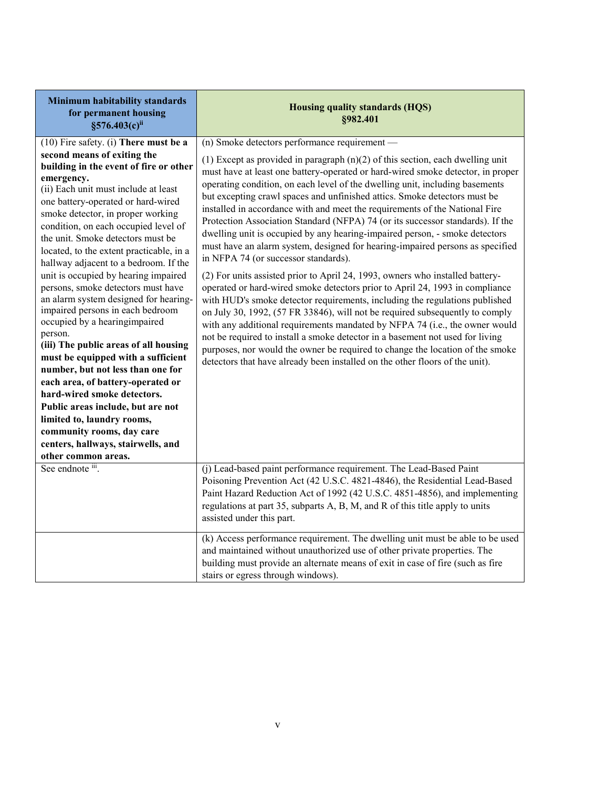| Minimum habitability standards<br>for permanent housing<br>§576.403(c)ii                                                                                                                                                                                                                                                                                                                                                                                                                                                                                                                                                                                                                                                                                                                                                                                                                                                                               | Housing quality standards (HQS)<br>§982.401                                                                                                                                                                                                                                                                                                                                                                                                                                                                                                                                                                                                                                                                                                                                                                                                                                                                                                                                                                                                                                                                                                                                                                                                                                                                                                                                                                                 |
|--------------------------------------------------------------------------------------------------------------------------------------------------------------------------------------------------------------------------------------------------------------------------------------------------------------------------------------------------------------------------------------------------------------------------------------------------------------------------------------------------------------------------------------------------------------------------------------------------------------------------------------------------------------------------------------------------------------------------------------------------------------------------------------------------------------------------------------------------------------------------------------------------------------------------------------------------------|-----------------------------------------------------------------------------------------------------------------------------------------------------------------------------------------------------------------------------------------------------------------------------------------------------------------------------------------------------------------------------------------------------------------------------------------------------------------------------------------------------------------------------------------------------------------------------------------------------------------------------------------------------------------------------------------------------------------------------------------------------------------------------------------------------------------------------------------------------------------------------------------------------------------------------------------------------------------------------------------------------------------------------------------------------------------------------------------------------------------------------------------------------------------------------------------------------------------------------------------------------------------------------------------------------------------------------------------------------------------------------------------------------------------------------|
| (10) Fire safety. (i) There must be a<br>second means of exiting the<br>building in the event of fire or other<br>emergency.<br>(ii) Each unit must include at least<br>one battery-operated or hard-wired<br>smoke detector, in proper working<br>condition, on each occupied level of<br>the unit. Smoke detectors must be<br>located, to the extent practicable, in a<br>hallway adjacent to a bedroom. If the<br>unit is occupied by hearing impaired<br>persons, smoke detectors must have<br>an alarm system designed for hearing-<br>impaired persons in each bedroom<br>occupied by a hearingimpaired<br>person.<br>(iii) The public areas of all housing<br>must be equipped with a sufficient<br>number, but not less than one for<br>each area, of battery-operated or<br>hard-wired smoke detectors.<br>Public areas include, but are not<br>limited to, laundry rooms,<br>community rooms, day care<br>centers, hallways, stairwells, and | (n) Smoke detectors performance requirement -<br>(1) Except as provided in paragraph $(n)(2)$ of this section, each dwelling unit<br>must have at least one battery-operated or hard-wired smoke detector, in proper<br>operating condition, on each level of the dwelling unit, including basements<br>but excepting crawl spaces and unfinished attics. Smoke detectors must be<br>installed in accordance with and meet the requirements of the National Fire<br>Protection Association Standard (NFPA) 74 (or its successor standards). If the<br>dwelling unit is occupied by any hearing-impaired person, - smoke detectors<br>must have an alarm system, designed for hearing-impaired persons as specified<br>in NFPA 74 (or successor standards).<br>(2) For units assisted prior to April 24, 1993, owners who installed battery-<br>operated or hard-wired smoke detectors prior to April 24, 1993 in compliance<br>with HUD's smoke detector requirements, including the regulations published<br>on July 30, 1992, (57 FR 33846), will not be required subsequently to comply<br>with any additional requirements mandated by NFPA 74 (i.e., the owner would<br>not be required to install a smoke detector in a basement not used for living<br>purposes, nor would the owner be required to change the location of the smoke<br>detectors that have already been installed on the other floors of the unit). |
| other common areas.<br>See endnote iii.                                                                                                                                                                                                                                                                                                                                                                                                                                                                                                                                                                                                                                                                                                                                                                                                                                                                                                                | (j) Lead-based paint performance requirement. The Lead-Based Paint<br>Poisoning Prevention Act (42 U.S.C. 4821-4846), the Residential Lead-Based<br>Paint Hazard Reduction Act of 1992 (42 U.S.C. 4851-4856), and implementing<br>regulations at part 35, subparts A, B, M, and R of this title apply to units<br>assisted under this part.<br>(k) Access performance requirement. The dwelling unit must be able to be used<br>and maintained without unauthorized use of other private properties. The<br>building must provide an alternate means of exit in case of fire (such as fire<br>stairs or egress through windows).                                                                                                                                                                                                                                                                                                                                                                                                                                                                                                                                                                                                                                                                                                                                                                                            |